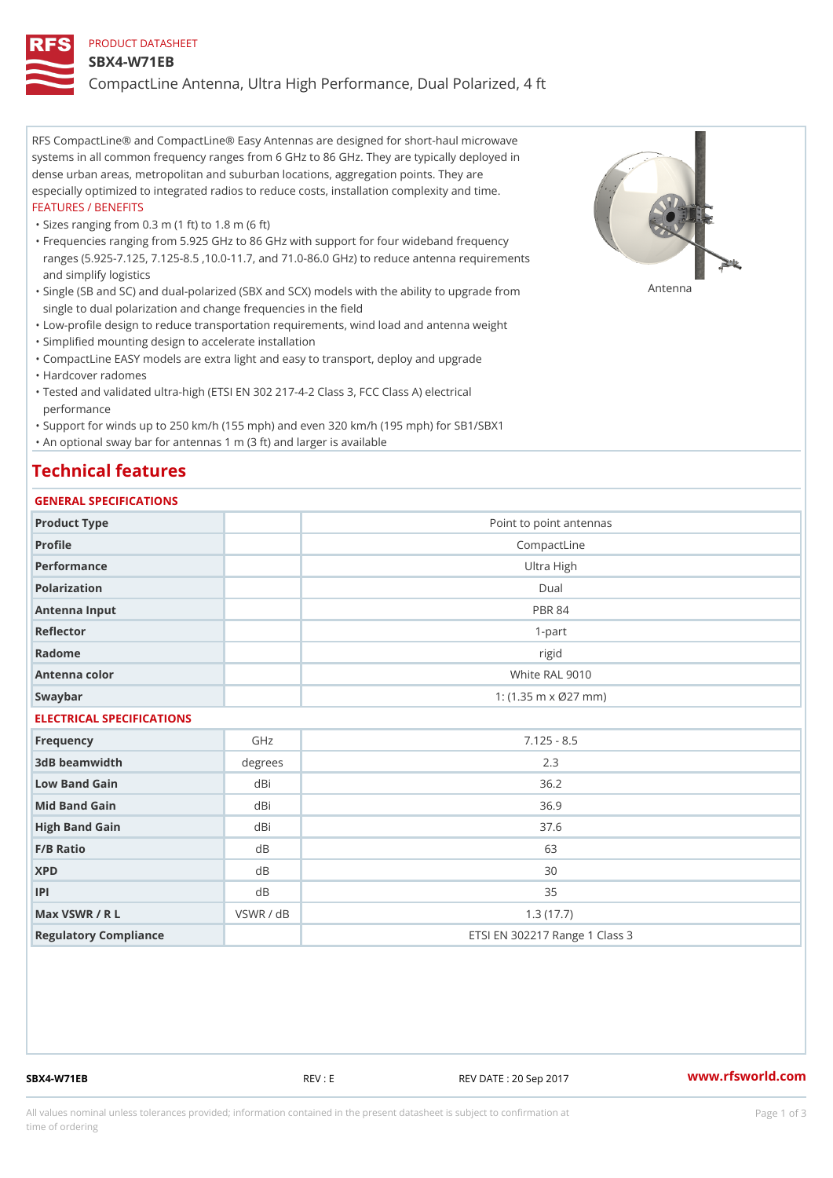### PRODUCT DATASHEET

### SBX4-W71EB

CompactLine Antenna, Ultra High Performance, Dual Polarized, 4 ft

RFS CompactLine® and CompactLine® Easy Antennas are designed for short-haul microwave systems in all common frequency ranges from 6 GHz to 86 GHz. They are typically deployed in dense urban areas, metropolitan and suburban locations, aggregation points. They are especially optimized to integrated radios to reduce costs, installation complexity and time. FEATURES / BENEFITS

"Sizes ranging from 0.3 m (1 ft) to 1.8 m (6 ft)

Frequencies ranging from 5.925 GHz to 86 GHz with support for four wideband frequency " ranges (5.925-7.125, 7.125-8.5 ,10.0-11.7, and 71.0-86.0 GHz) to reduce antenna requirements and simplify logistics

"Single (SB and SC) and dual-polarized (SBX and SCX) models with the abili $\mathsf{f}_\mathsf{V}^{\eta}$ ttenup $\beta$ grade from single to dual polarization and change frequencies in the field

"Low-profile design to reduce transportation requirements, wind load and antenna weight

"Simplified mounting design to accelerate installation

 "CompactLine EASY models are extra light and easy to transport, deploy and upgrade "Hardcover radomes

Tested and validated ultra-high (ETSI EN 302 217-4-2 Class 3, FCC Class A) electrical " performance

 "Support for winds up to 250 km/h (155 mph) and even 320 km/h (195 mph) for SB1/SBX1 "An optional sway bar for antennas 1 m (3 ft) and larger is available

# Technical features

## GENERAL SPECIFICATIONS

| OLIVERAL OF LOTITUATIONS  |           |                                   |
|---------------------------|-----------|-----------------------------------|
| Product Type              |           | Point to point antennas           |
| Profile                   |           | CompactLine                       |
| Performance               |           | Ultra High                        |
| Polarization              |           | $D$ ual                           |
| Antenna Input             |           | <b>PBR 84</b>                     |
| Reflector                 |           | $1 - p$ art                       |
| Radome                    |           | rigid                             |
| Antenna color             |           | White RAL 9010                    |
| Swaybar                   |           | 1: $(1.35 \, m \times 027 \, mm)$ |
| ELECTRICAL SPECIFICATIONS |           |                                   |
| Frequency                 | GHz       | $7.125 - 8.5$                     |
| 3dB beamwidth             | degrees   | 2.3                               |
| Low Band Gain             | $dB$ i    | 36.2                              |
| Mid Band Gain             | dBi       | 36.9                              |
| High Band Gain            | dBi       | 37.6                              |
| F/B Ratio                 | d B       | 63                                |
| <b>XPD</b>                | d B       | 30                                |
| P                         | $d$ B     | 35                                |
| Max VSWR / R L            | VSWR / dB | 1.3(17.7)                         |
| Regulatory Compliance     |           | ETSI EN 302217 Range 1 Class 3    |

SBX4-W71EB REV : E REV DATE : 20 Sep 2017 [www.](https://www.rfsworld.com)rfsworld.com

All values nominal unless tolerances provided; information contained in the present datasheet is subject to Pcapgeign mation time of ordering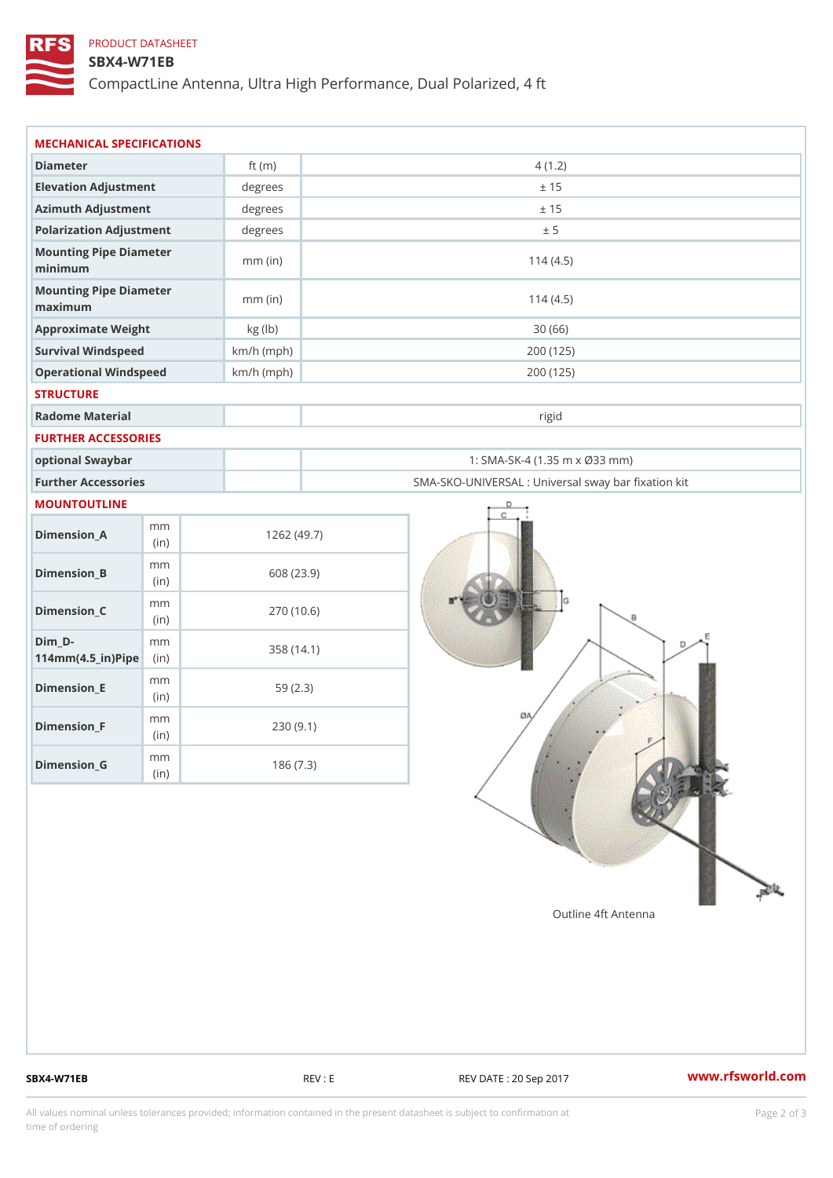## PRODUCT DATASHEET

## SBX4-W71EB

CompactLine Antenna, Ultra High Performance, Dual Polarized, 4 ft

| MECHANICAL SPECIFICATIONS                           |              |              |                                                   |
|-----------------------------------------------------|--------------|--------------|---------------------------------------------------|
| Diameter                                            |              | ft $(m)$     | 4(1.2)                                            |
| Elevation Adjustment                                |              | degrees      | ± 15                                              |
| Azimuth Adjustment                                  |              | degrees      | ± 15                                              |
| Polarization Adjustment                             |              | $degree$ :   | ± 5                                               |
| Mounting Pipe Diameter<br>minimum                   |              | $mm$ (in)    | 114(4.5)                                          |
| Mounting Pipe Diameter<br>maximum                   |              | $mm$ (in)    | 114(4.5)                                          |
| Approximate Weight                                  |              | kg (lb)      | 30(66)                                            |
| Survival Windspeed                                  |              | $km/h$ (mph) | 200 (125)                                         |
| Operational Windspeed                               |              | $km/h$ (mph) | 200 (125)                                         |
| <b>STRUCTURE</b>                                    |              |              |                                                   |
| Radome Material                                     |              |              | rigid                                             |
| FURTHER ACCESSORIES                                 |              |              |                                                   |
| optional Swaybar                                    |              |              | 1: SMA-SK-4 (1.35 m x Ø33 mm)                     |
| Further Accessories                                 |              |              | SMA-SKO-UNIVERSAL : Universal sway bar fixation l |
| MOUNTOUTLINE                                        |              |              |                                                   |
| $Dimension_A$                                       | m m<br>(in)  |              | 1262(49.7)                                        |
| $Dimension_B$                                       | m m<br>(in)  |              | 608 (23.9)                                        |
| $Dimension_C$                                       | m m<br>(i n) |              | 270 (10.6)                                        |
| $Dim_D -$<br>$114$ m m $(4.5$ _ ir $)$ $R$ ii p $e$ | m m          |              | 358 (14.1)                                        |
| $Dimension$ = E                                     | m m<br>(i n) |              | 59(2.3)                                           |
| $Dimension_F$                                       | m m<br>(in)  |              | 230(9.1)                                          |
| $D$ imension $_G$                                   | m m<br>(in)  |              | 186(7.3)                                          |

SBX4-W71EB REV : E REV : REV DATE : 20 Sep 2017 WWW.rfsworld.com

All values nominal unless tolerances provided; information contained in the present datasheet is subject to Pcapgelio an atio time of ordering